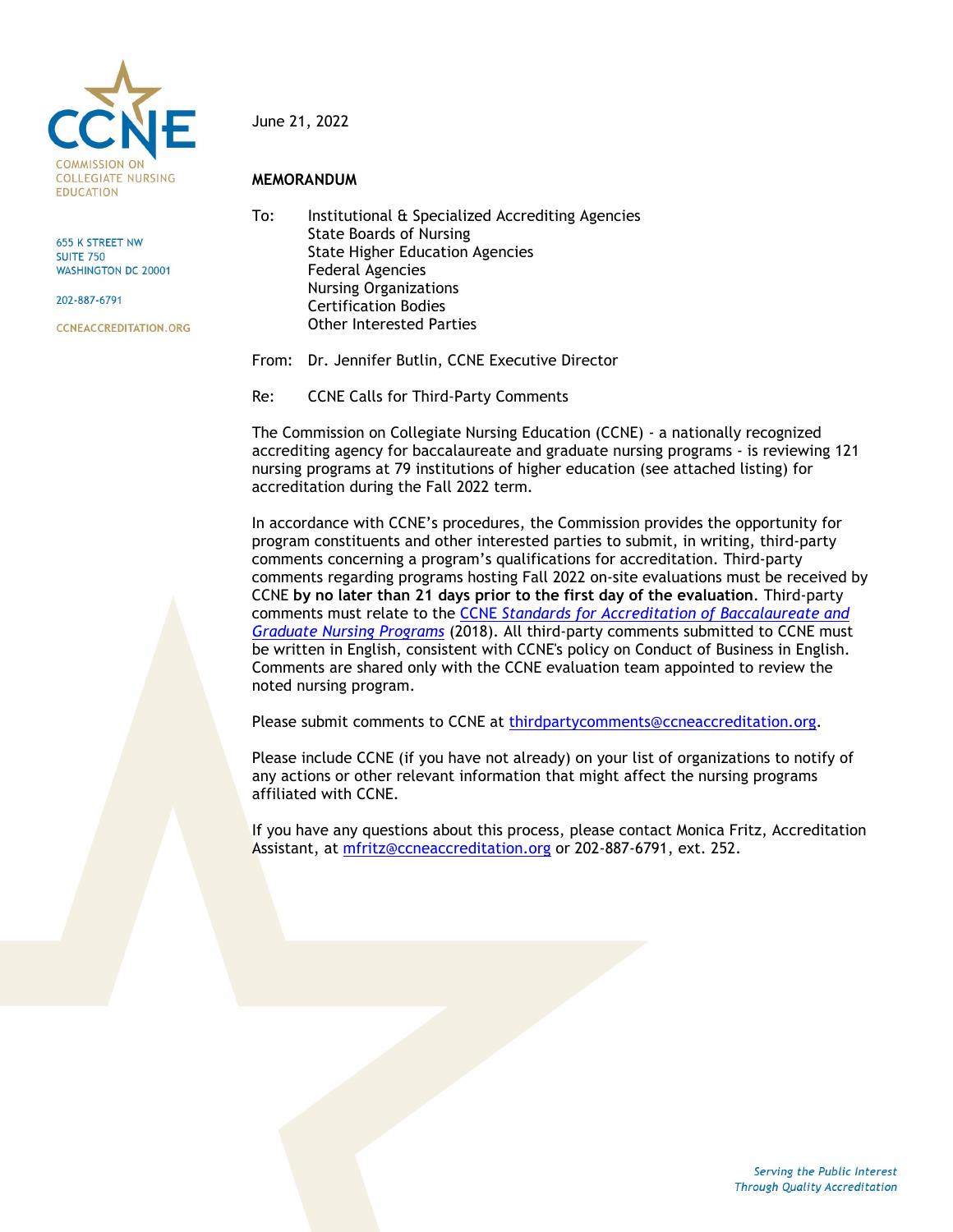

655 K STREET NW **SUITE 750 WASHINGTON DC 20001** 

202-887-6791

**CCNEACCREDITATION.ORG** 

#### June 21, 2022

#### **MEMORANDUM**

To: Institutional & Specialized Accrediting Agencies State Boards of Nursing State Higher Education Agencies Federal Agencies Nursing Organizations Certification Bodies Other Interested Parties

From: Dr. Jennifer Butlin, CCNE Executive Director

Re: CCNE Calls for Third-Party Comments

The Commission on Collegiate Nursing Education (CCNE) - a nationally recognized accrediting agency for baccalaureate and graduate nursing programs - is reviewing 121 nursing programs at 79 institutions of higher education (see attached listing) for accreditation during the Fall 2022 term.

In accordance with CCNE's procedures, the Commission provides the opportunity for program constituents and other interested parties to submit, in writing, third-party comments concerning a program's qualifications for accreditation. Third-party comments regarding programs hosting Fall 2022 on-site evaluations must be received by CCNE **by no later than 21 days prior to the first day of the evaluation**. Third-party comments must relate to the CCNE *[Standards for Accreditation of Baccalaureate and](https://www.aacnnursing.org/Portals/42/CCNE/PDF/Standards-Final-2018.pdf)  [Graduate Nursing Programs](https://www.aacnnursing.org/Portals/42/CCNE/PDF/Standards-Final-2018.pdf)* (2018). All third-party comments submitted to CCNE must be written in English, consistent with CCNE's policy on Conduct of Business in English. Comments are shared only with the CCNE evaluation team appointed to review the noted nursing program.

Please submit comments to CCNE at [thirdpartycomments@ccneaccreditation.org.](mailto:thirdpartycomments@ccneaccreditation.org)

Please include CCNE (if you have not already) on your list of organizations to notify of any actions or other relevant information that might affect the nursing programs affiliated with CCNE.

If you have any questions about this process, please contact Monica Fritz, Accreditation Assistant, at [mfritz@ccneaccreditation.org](mailto:mfritz@ccneaccreditation.org) or 202-887-6791, ext. 252.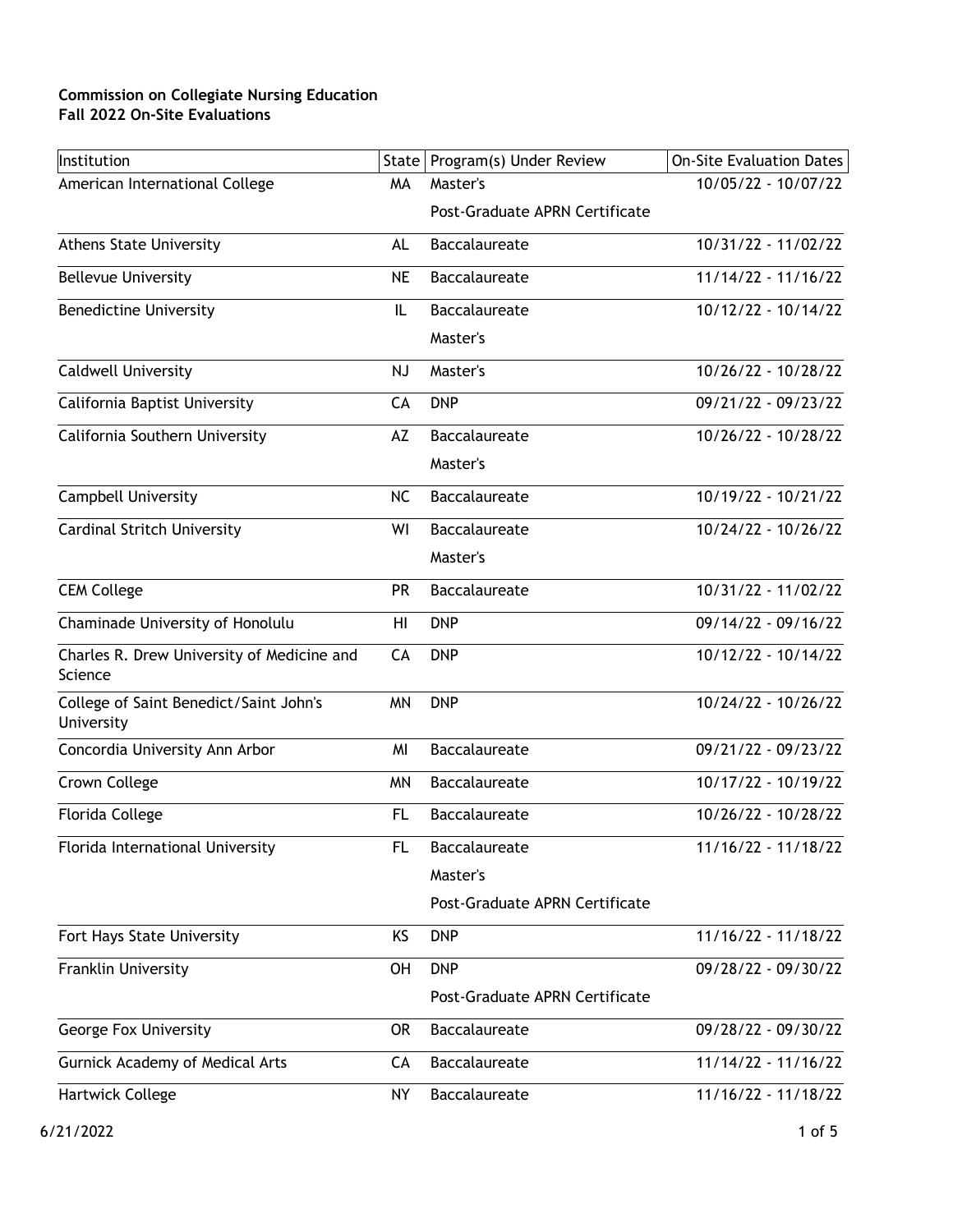| Institution                                           |           | State   Program(s) Under Review | On-Site Evaluation Dates |
|-------------------------------------------------------|-----------|---------------------------------|--------------------------|
| American International College                        | MA        | Master's                        | 10/05/22 - 10/07/22      |
|                                                       |           | Post-Graduate APRN Certificate  |                          |
| <b>Athens State University</b>                        | AL        | <b>Baccalaureate</b>            | 10/31/22 - 11/02/22      |
| <b>Bellevue University</b>                            | <b>NE</b> | <b>Baccalaureate</b>            | $11/14/22 - 11/16/22$    |
| <b>Benedictine University</b>                         | IL        | <b>Baccalaureate</b>            | 10/12/22 - 10/14/22      |
|                                                       |           | Master's                        |                          |
| <b>Caldwell University</b>                            | <b>NJ</b> | Master's                        | 10/26/22 - 10/28/22      |
| California Baptist University                         | CA        | <b>DNP</b>                      | 09/21/22 - 09/23/22      |
| California Southern University                        | AZ        | Baccalaureate                   | 10/26/22 - 10/28/22      |
|                                                       |           | Master's                        |                          |
| <b>Campbell University</b>                            | <b>NC</b> | Baccalaureate                   | 10/19/22 - 10/21/22      |
| <b>Cardinal Stritch University</b>                    | WI        | Baccalaureate                   | 10/24/22 - 10/26/22      |
|                                                       |           | Master's                        |                          |
| <b>CEM College</b>                                    | PR        | Baccalaureate                   | 10/31/22 - 11/02/22      |
| Chaminade University of Honolulu                      | HI        | <b>DNP</b>                      | 09/14/22 - 09/16/22      |
| Charles R. Drew University of Medicine and<br>Science | CA        | <b>DNP</b>                      | 10/12/22 - 10/14/22      |
| College of Saint Benedict/Saint John's<br>University  | <b>MN</b> | <b>DNP</b>                      | 10/24/22 - 10/26/22      |
| Concordia University Ann Arbor                        | MI        | Baccalaureate                   | 09/21/22 - 09/23/22      |
| Crown College                                         | <b>MN</b> | Baccalaureate                   | 10/17/22 - 10/19/22      |
| Florida College                                       | <b>FL</b> | Baccalaureate                   | 10/26/22 - 10/28/22      |
| Florida International University                      | FL.       | Baccalaureate                   | 11/16/22 - 11/18/22      |
|                                                       |           | Master's                        |                          |
|                                                       |           | Post-Graduate APRN Certificate  |                          |
| Fort Hays State University                            | KS        | <b>DNP</b>                      | 11/16/22 - 11/18/22      |
| Franklin University                                   | OH        | <b>DNP</b>                      | 09/28/22 - 09/30/22      |
|                                                       |           | Post-Graduate APRN Certificate  |                          |
| <b>George Fox University</b>                          | <b>OR</b> | Baccalaureate                   | 09/28/22 - 09/30/22      |
| <b>Gurnick Academy of Medical Arts</b>                | CA        | Baccalaureate                   | 11/14/22 - 11/16/22      |
| Hartwick College                                      | <b>NY</b> | Baccalaureate                   | 11/16/22 - 11/18/22      |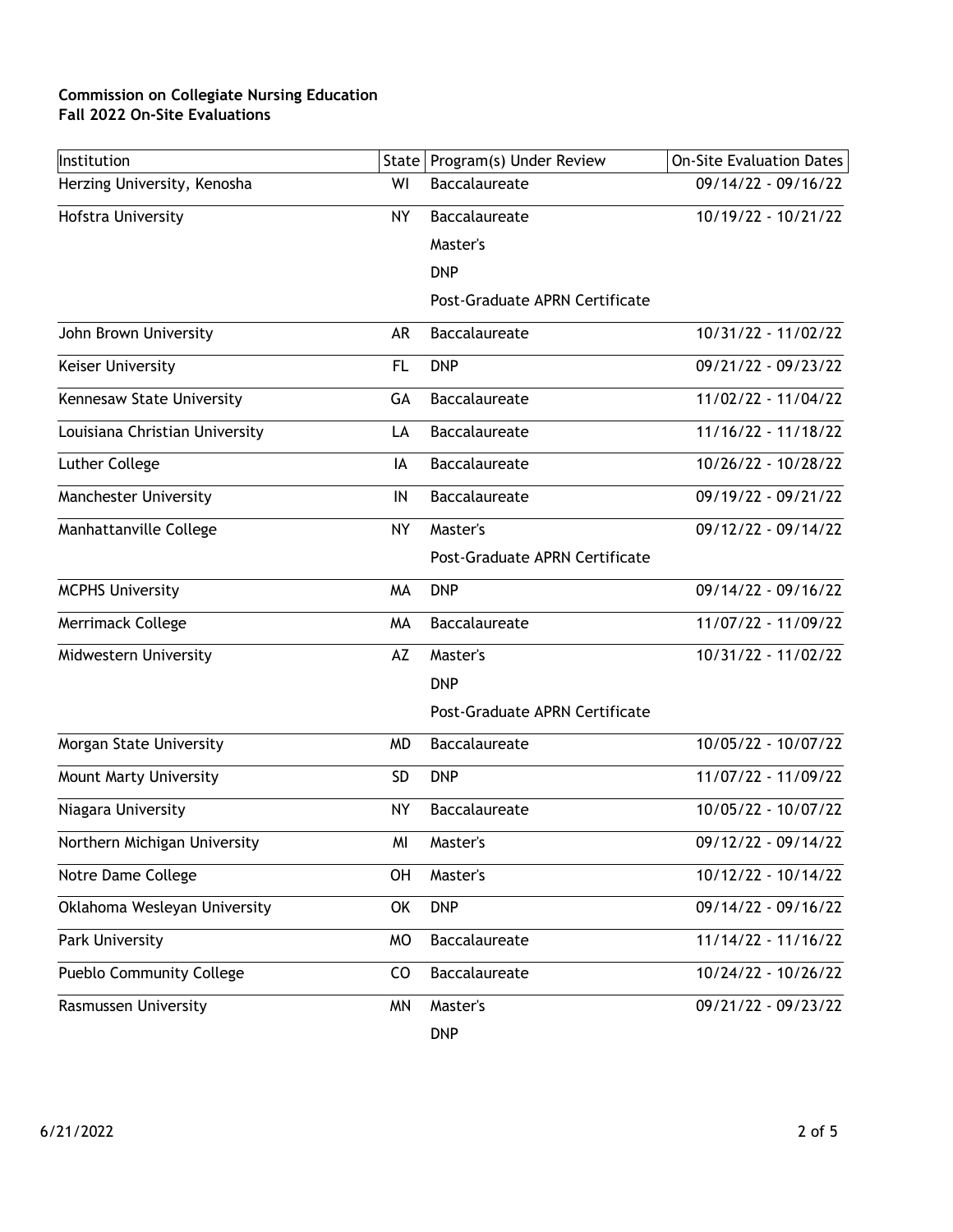| Institution                     | State     | Program(s) Under Review        | <b>On-Site Evaluation Dates</b> |
|---------------------------------|-----------|--------------------------------|---------------------------------|
| Herzing University, Kenosha     | WI        | Baccalaureate                  | 09/14/22 - 09/16/22             |
| Hofstra University              | NΥ        | <b>Baccalaureate</b>           | 10/19/22 - 10/21/22             |
|                                 |           | Master's                       |                                 |
|                                 |           | <b>DNP</b>                     |                                 |
|                                 |           | Post-Graduate APRN Certificate |                                 |
| John Brown University           | AR        | Baccalaureate                  | $10/31/22 - 11/02/22$           |
| Keiser University               | FL        | <b>DNP</b>                     | 09/21/22 - 09/23/22             |
| Kennesaw State University       | GА        | Baccalaureate                  | 11/02/22 - 11/04/22             |
| Louisiana Christian University  | LA        | <b>Baccalaureate</b>           | 11/16/22 - 11/18/22             |
| Luther College                  | IA        | Baccalaureate                  | 10/26/22 - 10/28/22             |
| <b>Manchester University</b>    | IN        | <b>Baccalaureate</b>           | 09/19/22 - 09/21/22             |
| Manhattanville College          | NΥ        | Master's                       | 09/12/22 - 09/14/22             |
|                                 |           | Post-Graduate APRN Certificate |                                 |
| <b>MCPHS University</b>         | MA        | <b>DNP</b>                     | 09/14/22 - 09/16/22             |
| Merrimack College               | MA        | Baccalaureate                  | 11/07/22 - 11/09/22             |
| Midwestern University           | AZ        | Master's                       | 10/31/22 - 11/02/22             |
|                                 |           | <b>DNP</b>                     |                                 |
|                                 |           | Post-Graduate APRN Certificate |                                 |
| Morgan State University         | <b>MD</b> | Baccalaureate                  | 10/05/22 - 10/07/22             |
| Mount Marty University          | <b>SD</b> | <b>DNP</b>                     | 11/07/22 - 11/09/22             |
| Niagara University              | NΥ        | Baccalaureate                  | 10/05/22 - 10/07/22             |
| Northern Michigan University    | MI        | Master's                       | 09/12/22 - 09/14/22             |
| Notre Dame College              | OH        | Master's                       | 10/12/22 - 10/14/22             |
| Oklahoma Wesleyan University    | OK        | <b>DNP</b>                     | 09/14/22 - 09/16/22             |
| Park University                 | <b>MO</b> | Baccalaureate                  | 11/14/22 - 11/16/22             |
| <b>Pueblo Community College</b> | CO        | Baccalaureate                  | 10/24/22 - 10/26/22             |
| Rasmussen University            | <b>MN</b> | Master's                       | 09/21/22 - 09/23/22             |
|                                 |           | <b>DNP</b>                     |                                 |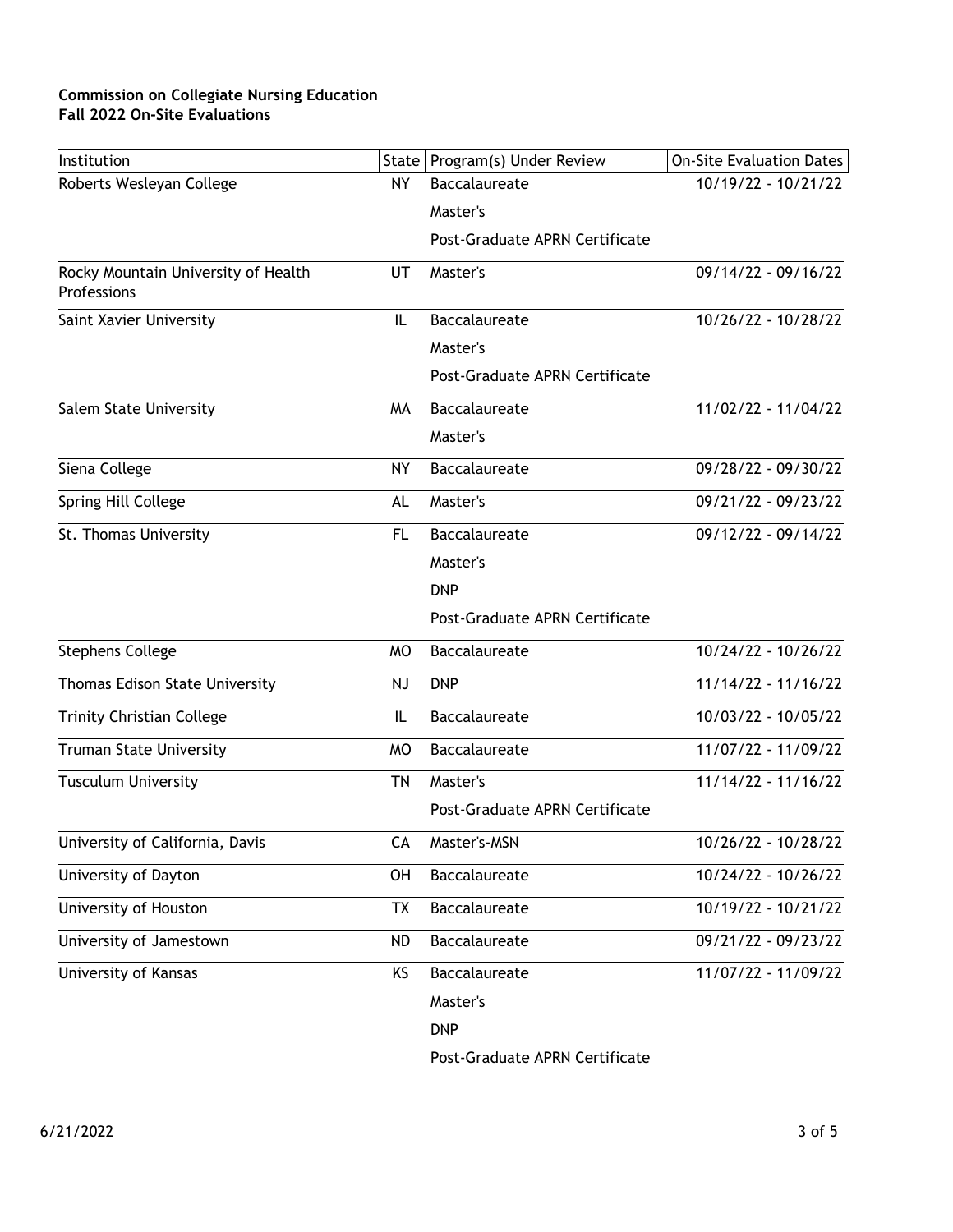| Institution                                        |           | State   Program(s) Under Review | On-Site Evaluation Dates |
|----------------------------------------------------|-----------|---------------------------------|--------------------------|
| Roberts Wesleyan College                           | NY.       | Baccalaureate                   | 10/19/22 - 10/21/22      |
|                                                    |           | Master's                        |                          |
|                                                    |           | Post-Graduate APRN Certificate  |                          |
| Rocky Mountain University of Health<br>Professions | UT        | Master's                        | 09/14/22 - 09/16/22      |
| Saint Xavier University                            | IL        | Baccalaureate                   | 10/26/22 - 10/28/22      |
|                                                    |           | Master's                        |                          |
|                                                    |           | Post-Graduate APRN Certificate  |                          |
| Salem State University                             | MA        | <b>Baccalaureate</b>            | 11/02/22 - 11/04/22      |
|                                                    |           | Master's                        |                          |
| Siena College                                      | <b>NY</b> | Baccalaureate                   | 09/28/22 - 09/30/22      |
| Spring Hill College                                | AL        | Master's                        | 09/21/22 - 09/23/22      |
| St. Thomas University                              | FL.       | <b>Baccalaureate</b>            | 09/12/22 - 09/14/22      |
|                                                    |           | Master's                        |                          |
|                                                    |           | <b>DNP</b>                      |                          |
|                                                    |           | Post-Graduate APRN Certificate  |                          |
| <b>Stephens College</b>                            | <b>MO</b> | Baccalaureate                   | 10/24/22 - 10/26/22      |
| Thomas Edison State University                     | NJ        | <b>DNP</b>                      | $11/14/22 - 11/16/22$    |
| <b>Trinity Christian College</b>                   | IL        | Baccalaureate                   | 10/03/22 - 10/05/22      |
| <b>Truman State University</b>                     | <b>MO</b> | <b>Baccalaureate</b>            | 11/07/22 - 11/09/22      |
| <b>Tusculum University</b>                         | <b>TN</b> | Master's                        | $11/14/22 - 11/16/22$    |
|                                                    |           | Post-Graduate APRN Certificate  |                          |
| University of California, Davis                    | CА        | Master's-MSN                    | 10/26/22 - 10/28/22      |
| University of Dayton                               | <b>OH</b> | Baccalaureate                   | 10/24/22 - 10/26/22      |
| University of Houston                              | <b>TX</b> | Baccalaureate                   | 10/19/22 - 10/21/22      |
| University of Jamestown                            | <b>ND</b> | Baccalaureate                   | 09/21/22 - 09/23/22      |
| University of Kansas                               | KS        | Baccalaureate                   | 11/07/22 - 11/09/22      |
|                                                    |           | Master's                        |                          |
|                                                    |           | <b>DNP</b>                      |                          |

Post-Graduate APRN Certificate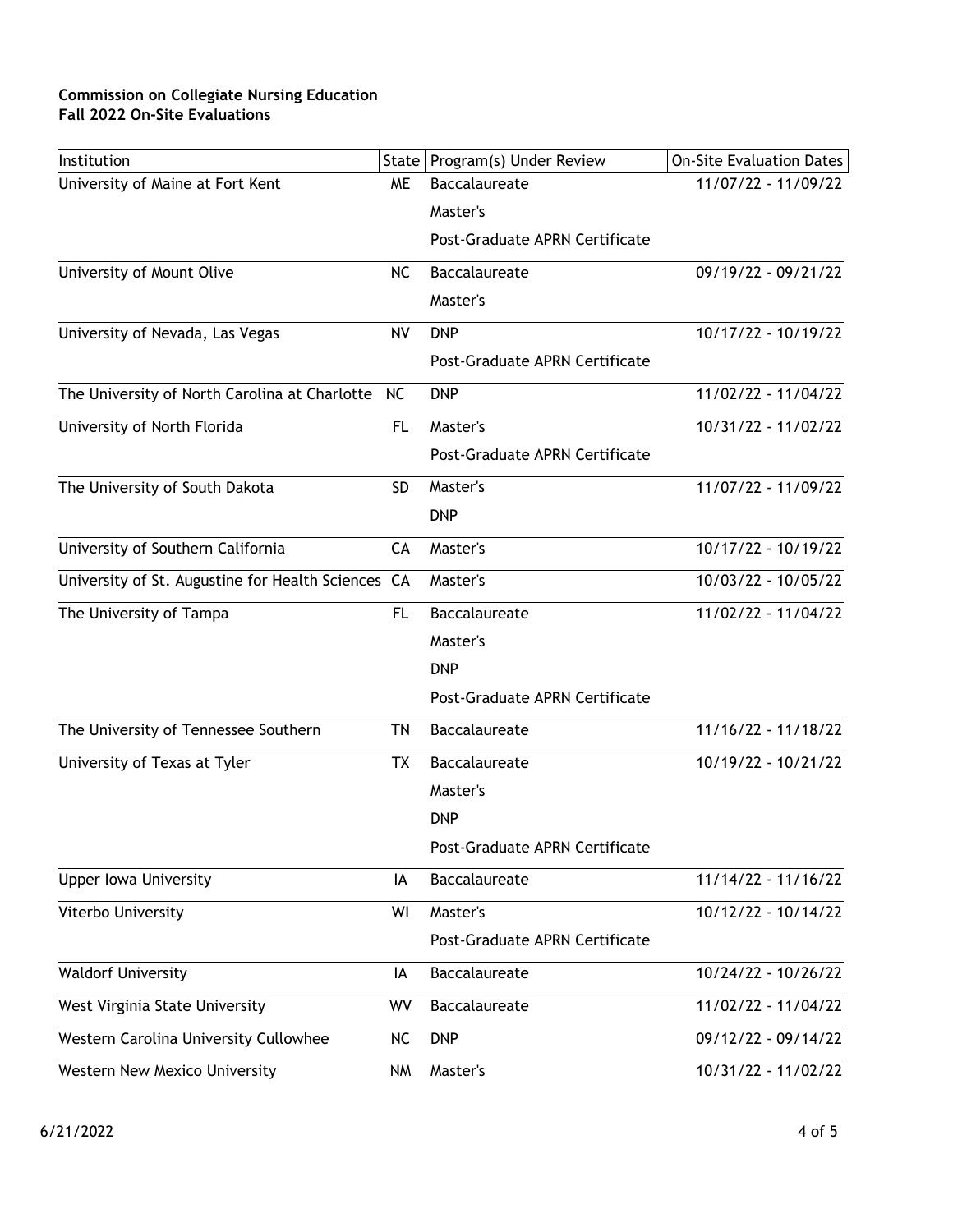| Institution                                        |           | State   Program(s) Under Review | <b>On-Site Evaluation Dates</b> |
|----------------------------------------------------|-----------|---------------------------------|---------------------------------|
| University of Maine at Fort Kent                   | <b>ME</b> | Baccalaureate                   | 11/07/22 - 11/09/22             |
|                                                    |           | Master's                        |                                 |
|                                                    |           | Post-Graduate APRN Certificate  |                                 |
| University of Mount Olive                          | <b>NC</b> | <b>Baccalaureate</b>            | 09/19/22 - 09/21/22             |
|                                                    |           | Master's                        |                                 |
| University of Nevada, Las Vegas                    | <b>NV</b> | <b>DNP</b>                      | $10/17/22 - 10/19/22$           |
|                                                    |           | Post-Graduate APRN Certificate  |                                 |
| The University of North Carolina at Charlotte      | NC.       | <b>DNP</b>                      | 11/02/22 - 11/04/22             |
| University of North Florida                        | FL        | Master's                        | 10/31/22 - 11/02/22             |
|                                                    |           | Post-Graduate APRN Certificate  |                                 |
| The University of South Dakota                     | <b>SD</b> | Master's                        | $11/07/22 - 11/09/22$           |
|                                                    |           | <b>DNP</b>                      |                                 |
| University of Southern California                  | CA        | Master's                        | 10/17/22 - 10/19/22             |
| University of St. Augustine for Health Sciences CA |           | Master's                        | 10/03/22 - 10/05/22             |
| The University of Tampa                            | FL        | Baccalaureate                   | 11/02/22 - 11/04/22             |
|                                                    |           | Master's                        |                                 |
|                                                    |           | <b>DNP</b>                      |                                 |
|                                                    |           | Post-Graduate APRN Certificate  |                                 |
| The University of Tennessee Southern               | TN        | <b>Baccalaureate</b>            | 11/16/22 - 11/18/22             |
| University of Texas at Tyler                       | TX        | Baccalaureate                   | 10/19/22 - 10/21/22             |
|                                                    |           | Master's                        |                                 |
|                                                    |           | <b>DNP</b>                      |                                 |
|                                                    |           | Post-Graduate APRN Certificate  |                                 |
| <b>Upper lowa University</b>                       | IA        | Baccalaureate                   | $11/14/22 - 11/16/22$           |
| Viterbo University                                 | WI        | Master's                        | 10/12/22 - 10/14/22             |
|                                                    |           | Post-Graduate APRN Certificate  |                                 |
| <b>Waldorf University</b>                          | IA        | Baccalaureate                   | $10/24/22 - 10/26/22$           |
| West Virginia State University                     | WV        | Baccalaureate                   | 11/02/22 - 11/04/22             |
| Western Carolina University Cullowhee              | <b>NC</b> | <b>DNP</b>                      | 09/12/22 - 09/14/22             |
| Western New Mexico University                      | <b>NM</b> | Master's                        | 10/31/22 - 11/02/22             |